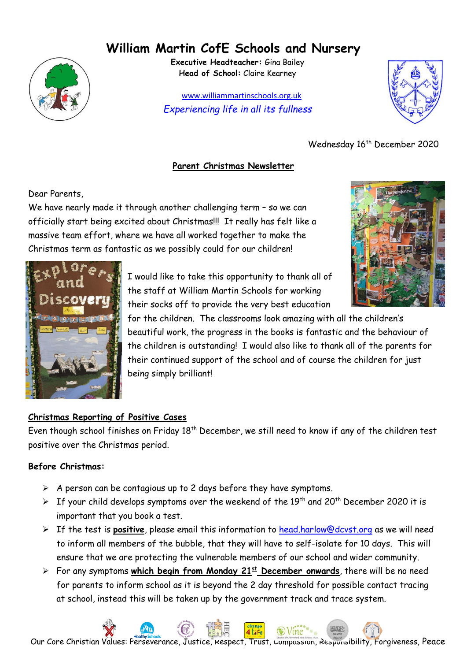# **William Martin CofE Schools and Nursery**



**Executive Headteacher:** Gina Bailey **Head of School:** Claire Kearney

 www.williammartinschools.org.uk *Experiencing life in all its fullness*



Wednesday 16<sup>th</sup> December 2020

### **Parent Christmas Newsletter**

Dear Parents,

We have nearly made it through another challenging term - so we can officially start being excited about Christmas!!! It really has felt like a massive team effort, where we have all worked together to make the Christmas term as fantastic as we possibly could for our children!





I would like to take this opportunity to thank all of the staff at William Martin Schools for working their socks off to provide the very best education

for the children. The classrooms look amazing with all the children's beautiful work, the progress in the books is fantastic and the behaviour of the children is outstanding! I would also like to thank all of the parents for their continued support of the school and of course the children for just being simply brilliant!

# **Christmas Reporting of Positive Cases**

Even though school finishes on Friday 18<sup>th</sup> December, we still need to know if any of the children test positive over the Christmas period.

# **Before Christmas:**

- $\triangleright$  A person can be contagious up to 2 days before they have symptoms.
- $\triangleright$  If your child develops symptoms over the weekend of the 19<sup>th</sup> and 20<sup>th</sup> December 2020 it is important that you book a test.
- ➢ If the test is **positive**, please email this information to [head.harlow@dcvst.org](mailto:head.harlow@dcvst.org) as we will need to inform all members of the bubble, that they will have to self-isolate for 10 days. This will ensure that we are protecting the vulnerable members of our school and wider community.
- ➢ For any symptoms **which begin from Monday 21st December onwards**, there will be no need for parents to inform school as it is beyond the 2 day threshold for possible contact tracing at school, instead this will be taken up by the government track and trace system.

Our Core Christian Values: Perseverance, Justice, Respect, Trust, Compassion, Responsibility, Forgiveness, Peace

4 life

 $\odot$  Vine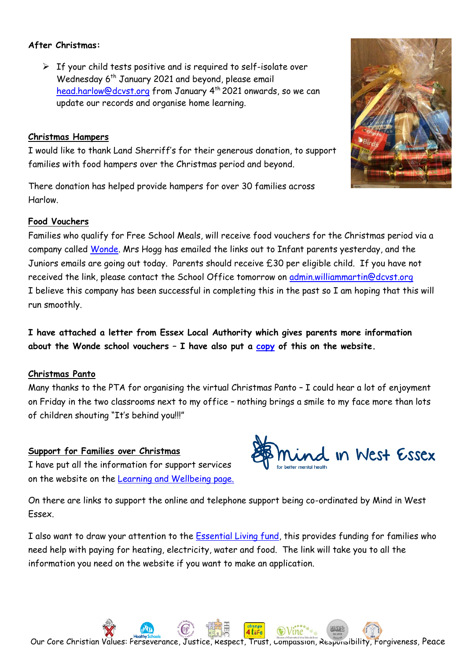#### **After Christmas:**

 $\triangleright$  If your child tests positive and is required to self-isolate over Wednesday 6<sup>th</sup> January 2021 and beyond, please email [head.harlow@dcvst.org](mailto:head.harlow@dcvst.org) from January 4<sup>th</sup> 2021 onwards, so we can update our records and organise home learning.

#### **Christmas Hampers**

I would like to thank Land Sherriff's for their generous donation, to support families with food hampers over the Christmas period and beyond.

There donation has helped provide hampers for over 30 families across Harlow.

#### **Food Vouchers**

Families who qualify for Free School Meals, will receive food vouchers for the Christmas period via a company called [Wonde.](https://help.schoolvouchers.com/hc/en-gb) Mrs Hogg has emailed the links out to Infant parents yesterday, and the Juniors emails are going out today. Parents should receive £30 per eligible child. If you have not received the link, please contact the School Office tomorrow on [admin.williammartin@dcvst.org](mailto:admin.williammartin@dcvst.org) I believe this company has been successful in completing this in the past so I am hoping that this will run smoothly.

**I have attached a letter from Essex Local Authority which gives parents more information about the Wonde school vouchers – I have also put a [copy](https://williammartinschools.org.uk/wp-content/uploads/2020/12/CWGS-parent-letter.pdf) of this on the website.**

#### **Christmas Panto**

Many thanks to the PTA for organising the virtual Christmas Panto – I could hear a lot of enjoyment on Friday in the two classrooms next to my office – nothing brings a smile to my face more than lots of children shouting "It's behind you!!!"

#### **Support for Families over Christmas**

I have put all the information for support services on the website on the [Learning and Wellbeing page.](https://williammartinschools.org.uk/key-information/learning-wellbeing/)

On there are links to support the online and telephone support being co-ordinated by Mind in West Essex.

I also want to draw your attention to the [Essential Living fund,](https://williammartinschools.org.uk/wp-content/uploads/2020/12/8935-Essential-Living-Fund-A5-flyer_V3-PRINT.pdf) this provides funding for families who need help with paying for heating, electricity, water and food. The link will take you to all the information you need on the website if you want to make an application.



Our Core Christian Values: Perseverance, Justice, Respect, Trust, Compassion, Responsibility, Forgiveness, Peace